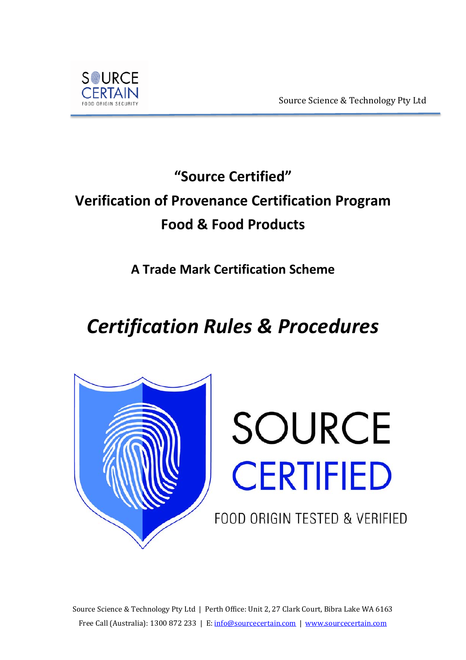



# **"Source Certified" Verification of Provenance Certification Program Food & Food Products**

**A Trade Mark Certification Scheme**

# *Certification Rules & Procedures*





FOOD ORIGIN TESTED & VERIFIED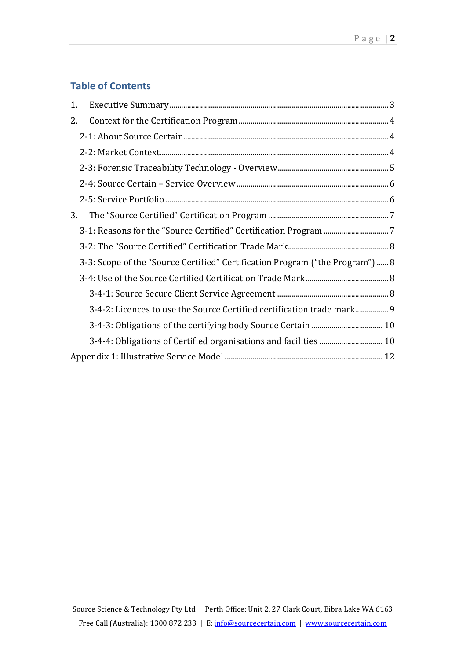## **Table of Contents**

| 1. |                                                                               |  |
|----|-------------------------------------------------------------------------------|--|
| 2. |                                                                               |  |
|    |                                                                               |  |
|    |                                                                               |  |
|    |                                                                               |  |
|    |                                                                               |  |
|    |                                                                               |  |
| 3. |                                                                               |  |
|    |                                                                               |  |
|    |                                                                               |  |
|    | 3-3: Scope of the "Source Certified" Certification Program ("the Program")  8 |  |
|    |                                                                               |  |
|    |                                                                               |  |
|    | 3-4-2: Licences to use the Source Certified certification trade mark          |  |
|    |                                                                               |  |
|    | 3-4-4: Obligations of Certified organisations and facilities  10              |  |
|    |                                                                               |  |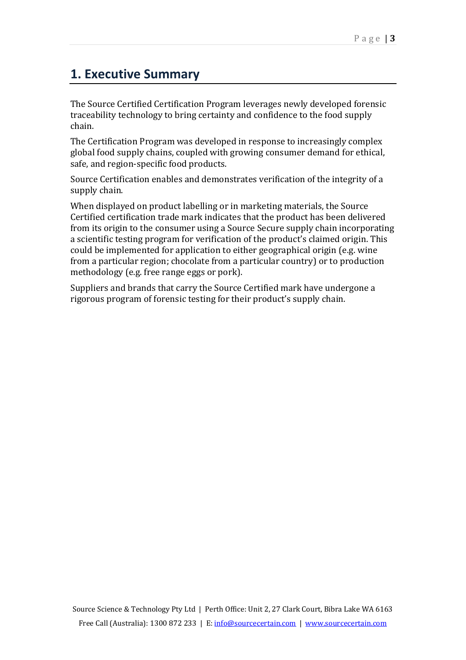# <span id="page-2-0"></span>**1. Executive Summary**

The Source Certified Certification Program leverages newly developed forensic traceability technology to bring certainty and confidence to the food supply chain.

The Certification Program was developed in response to increasingly complex global food supply chains, coupled with growing consumer demand for ethical, safe, and region-specific food products.

Source Certification enables and demonstrates verification of the integrity of a supply chain.

When displayed on product labelling or in marketing materials, the Source Certified certification trade mark indicates that the product has been delivered from its origin to the consumer using a Source Secure supply chain incorporating a scientific testing program for verification of the product's claimed origin. This could be implemented for application to either geographical origin (e.g. wine from a particular region; chocolate from a particular country) or to production methodology (e.g. free range eggs or pork).

Suppliers and brands that carry the Source Certified mark have undergone a rigorous program of forensic testing for their product's supply chain.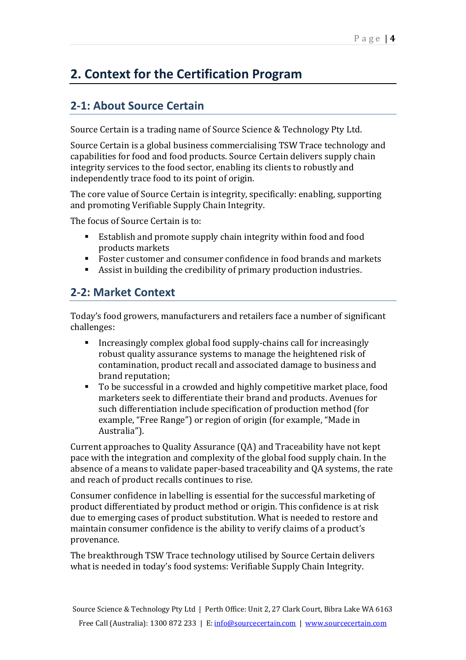# <span id="page-3-0"></span>**2. Context for the Certification Program**

## <span id="page-3-1"></span>**2-1: About Source Certain**

Source Certain is a trading name of Source Science & Technology Pty Ltd.

Source Certain is a global business commercialising TSW Trace technology and capabilities for food and food products. Source Certain delivers supply chain integrity services to the food sector, enabling its clients to robustly and independently trace food to its point of origin.

The core value of Source Certain is integrity, specifically: enabling, supporting and promoting Verifiable Supply Chain Integrity.

The focus of Source Certain is to:

- Establish and promote supply chain integrity within food and food products markets
- Foster customer and consumer confidence in food brands and markets<br>Assist in huilding the credibility of primary production industries.
- Assist in building the credibility of primary production industries.

#### <span id="page-3-2"></span>**2-2: Market Context**

Today's food growers, manufacturers and retailers face a number of significant challenges:

- Increasingly complex global food supply-chains call for increasingly robust quality assurance systems to manage the heightened risk of contamination, product recall and associated damage to business and brand reputation;
- To be successful in a crowded and highly competitive market place, food marketers seek to differentiate their brand and products. Avenues for such differentiation include specification of production method (for example, "Free Range") or region of origin (for example, "Made in Australia").

Current approaches to Quality Assurance (QA) and Traceability have not kept pace with the integration and complexity of the global food supply chain. In the absence of a means to validate paper-based traceability and QA systems, the rate and reach of product recalls continues to rise.

Consumer confidence in labelling is essential for the successful marketing of product differentiated by product method or origin. This confidence is at risk due to emerging cases of product substitution. What is needed to restore and maintain consumer confidence is the ability to verify claims of a product's provenance.

The breakthrough TSW Trace technology utilised by Source Certain delivers what is needed in today's food systems: Verifiable Supply Chain Integrity.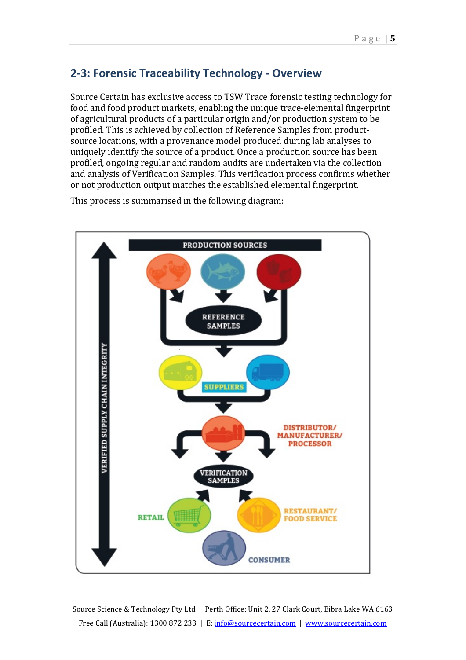## <span id="page-4-0"></span>**2-3: Forensic Traceability Technology - Overview**

Source Certain has exclusive access to TSW Trace forensic testing technology for food and food product markets, enabling the unique trace-elemental fingerprint of agricultural products of a particular origin and/or production system to be profiled. This is achieved by collection of Reference Samples from productsource locations, with a provenance model produced during lab analyses to uniquely identify the source of a product. Once a production source has been profiled, ongoing regular and random audits are undertaken via the collection and analysis of Verification Samples. This verification process confirms whether or not production output matches the established elemental fingerprint.

This process is summarised in the following diagram:



Source Science & Technology Pty Ltd | Perth Office: Unit 2, 27 Clark Court, Bibra Lake WA 6163 Free Call (Australia): 1300 872 233 | E: [info@sourcecertain.com](mailto:info@sourcecertain.com) | [www.sourcecertain.com](http://www.sourcecertain.com/)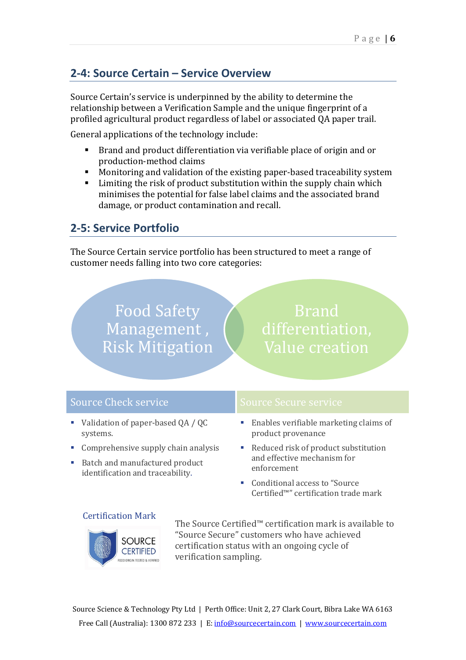## <span id="page-5-0"></span>**2-4: Source Certain – Service Overview**

Source Certain's service is underpinned by the ability to determine the relationship between a Verification Sample and the unique fingerprint of a profiled agricultural product regardless of label or associated QA paper trail.

General applications of the technology include:

- Brand and product differentiation via verifiable place of origin and or production-method claims
- Monitoring and validation of the existing paper-based traceability system
- Limiting the risk of product substitution within the supply chain which minimises the potential for false label claims and the associated brand damage, or product contamination and recall.

#### <span id="page-5-1"></span>**2-5: Service Portfolio**

The Source Certain service portfolio has been structured to meet a range of customer needs falling into two core categories:

> Food Safety Management, Risk Mitigation

Brand Value creation

| <b>Source Check service</b> |                                                                                                           | <b>Source Secure service</b>                                                                                                                                     |
|-----------------------------|-----------------------------------------------------------------------------------------------------------|------------------------------------------------------------------------------------------------------------------------------------------------------------------|
|                             | • Validation of paper-based $QA / QC$<br>systems.                                                         | • Enables verifiable marketing claims of<br>product provenance                                                                                                   |
|                             | Comprehensive supply chain analysis<br>Batch and manufactured product<br>identification and traceability. | • Reduced risk of product substitution<br>and effective mechanism for<br>enforcement<br>• Conditional access to "Source"<br>Certified™" certification trade mark |

#### Certification Mark



The Source Certified™ certification mark is available to "Source Secure" customers who have achieved certification status with an ongoing cycle of verification sampling.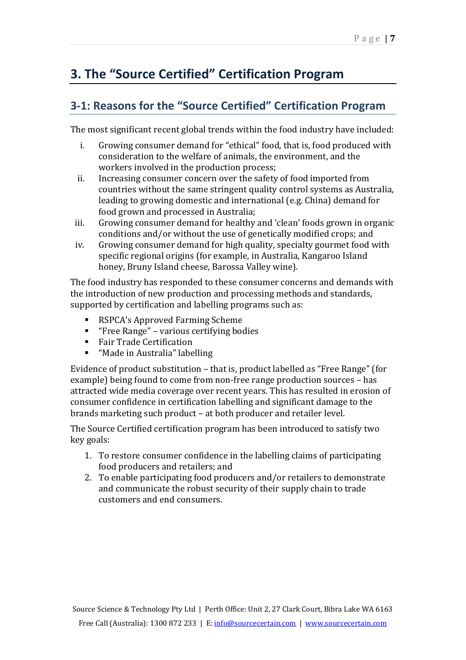# <span id="page-6-0"></span>**3. The "Source Certified" Certification Program**

### <span id="page-6-1"></span>**3-1: Reasons for the "Source Certified" Certification Program**

The most significant recent global trends within the food industry have included:

- i. Growing consumer demand for "ethical" food, that is, food produced with consideration to the welfare of animals, the environment, and the workers involved in the production process;
- ii. Increasing consumer concern over the safety of food imported from countries without the same stringent quality control systems as Australia, leading to growing domestic and international (e.g. China) demand for food grown and processed in Australia;
- iii. Growing consumer demand for healthy and 'clean' foods grown in organic conditions and/or without the use of genetically modified crops; and
- iv. Growing consumer demand for high quality, specialty gourmet food with specific regional origins (for example, in Australia, Kangaroo Island honey, Bruny Island cheese, Barossa Valley wine).

The food industry has responded to these consumer concerns and demands with the introduction of new production and processing methods and standards, supported by certification and labelling programs such as:

- RSPCA's Approved Farming Scheme
- "Free Range" various certifying bodies
- Fair Trade Certification
- "Made in Australia" labelling

Evidence of product substitution – that is, product labelled as "Free Range" (for example) being found to come from non-free range production sources – has attracted wide media coverage over recent years. This has resulted in erosion of consumer confidence in certification labelling and significant damage to the brands marketing such product – at both producer and retailer level.

The Source Certified certification program has been introduced to satisfy two key goals:

- 1. To restore consumer confidence in the labelling claims of participating food producers and retailers; and
- 2. To enable participating food producers and/or retailers to demonstrate and communicate the robust security of their supply chain to trade customers and end consumers.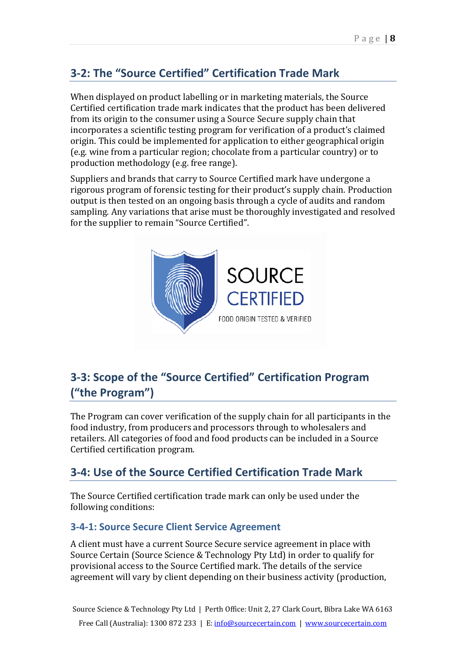## <span id="page-7-0"></span>**3-2: The "Source Certified" Certification Trade Mark**

When displayed on product labelling or in marketing materials, the Source Certified certification trade mark indicates that the product has been delivered from its origin to the consumer using a Source Secure supply chain that incorporates a scientific testing program for verification of a product's claimed origin. This could be implemented for application to either geographical origin (e.g. wine from a particular region; chocolate from a particular country) or to production methodology (e.g. free range).

Suppliers and brands that carry to Source Certified mark have undergone a rigorous program of forensic testing for their product's supply chain. Production output is then tested on an ongoing basis through a cycle of audits and random sampling. Any variations that arise must be thoroughly investigated and resolved for the supplier to remain "Source Certified".



## <span id="page-7-1"></span>**3-3: Scope of the "Source Certified" Certification Program ("the Program")**

The Program can cover verification of the supply chain for all participants in the food industry, from producers and processors through to wholesalers and retailers. All categories of food and food products can be included in a Source Certified certification program.

### <span id="page-7-2"></span>**3-4: Use of the Source Certified Certification Trade Mark**

The Source Certified certification trade mark can only be used under the following conditions:

#### <span id="page-7-3"></span>**3-4-1: Source Secure Client Service Agreement**

A client must have a current Source Secure service agreement in place with Source Certain (Source Science & Technology Pty Ltd) in order to qualify for provisional access to the Source Certified mark. The details of the service agreement will vary by client depending on their business activity (production,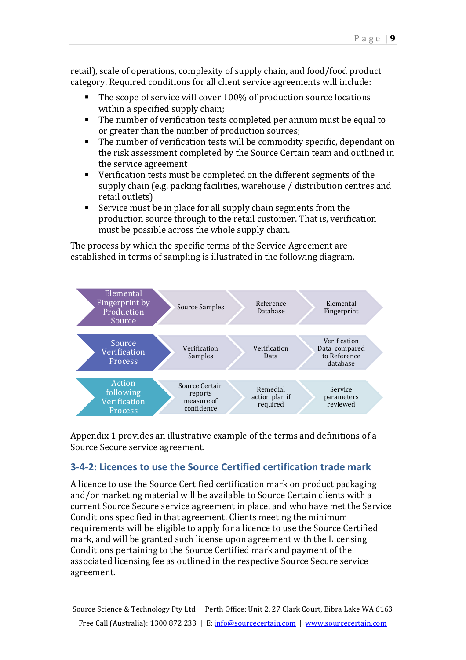retail), scale of operations, complexity of supply chain, and food/food product category. Required conditions for all client service agreements will include:

- The scope of service will cover 100% of production source locations within a specified supply chain;
- The number of verification tests completed per annum must be equal to or greater than the number of production sources;
- The number of verification tests will be commodity specific, dependant on the risk assessment completed by the Source Certain team and outlined in the service agreement
- Verification tests must be completed on the different segments of the supply chain (e.g. packing facilities, warehouse / distribution centres and retail outlets)
- Service must be in place for all supply chain segments from the production source through to the retail customer. That is, verification must be possible across the whole supply chain.

The process by which the specific terms of the Service Agreement are established in terms of sampling is illustrated in the following diagram.



Appendix 1 provides an illustrative example of the terms and definitions of a Source Secure service agreement.

#### <span id="page-8-0"></span>**3-4-2: Licences to use the Source Certified certification trade mark**

A licence to use the Source Certified certification mark on product packaging and/or marketing material will be available to Source Certain clients with a current Source Secure service agreement in place, and who have met the Service Conditions specified in that agreement. Clients meeting the minimum requirements will be eligible to apply for a licence to use the Source Certified mark, and will be granted such license upon agreement with the Licensing Conditions pertaining to the Source Certified mark and payment of the associated licensing fee as outlined in the respective Source Secure service agreement.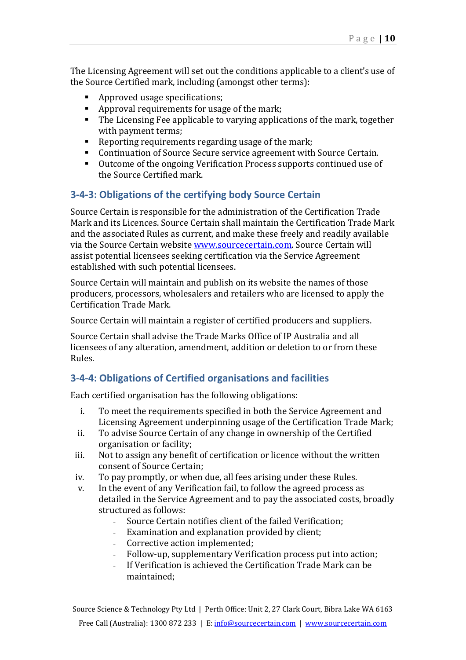The Licensing Agreement will set out the conditions applicable to a client's use of the Source Certified mark, including (amongst other terms):

- Approved usage specifications;
- Approval requirements for usage of the mark;
- The Licensing Fee applicable to varying applications of the mark, together with payment terms;
- Reporting requirements regarding usage of the mark;<br>Continuation of Source Secure service agreement with
- Continuation of Source Secure service agreement with Source Certain.<br>• Outcome of the ongoing Verification Process supports continued use of
- Outcome of the ongoing Verification Process supports continued use of the Source Certified mark.

#### <span id="page-9-0"></span>**3-4-3: Obligations of the certifying body Source Certain**

Source Certain is responsible for the administration of the Certification Trade Mark and its Licences. Source Certain shall maintain the Certification Trade Mark and the associated Rules as current, and make these freely and readily available via the Source Certain websit[e www.sourcecertain.com.](http://www.sourcecertain.com/) Source Certain will assist potential licensees seeking certification via the Service Agreement established with such potential licensees.

Source Certain will maintain and publish on its website the names of those producers, processors, wholesalers and retailers who are licensed to apply the Certification Trade Mark.

Source Certain will maintain a register of certified producers and suppliers.

Source Certain shall advise the Trade Marks Office of IP Australia and all licensees of any alteration, amendment, addition or deletion to or from these Rules.

#### <span id="page-9-1"></span>**3-4-4: Obligations of Certified organisations and facilities**

Each certified organisation has the following obligations:

- i. To meet the requirements specified in both the Service Agreement and Licensing Agreement underpinning usage of the Certification Trade Mark;
- ii. To advise Source Certain of any change in ownership of the Certified organisation or facility;
- iii. Not to assign any benefit of certification or licence without the written consent of Source Certain;
- iv. To pay promptly, or when due, all fees arising under these Rules.<br>v. In the event of any Verification fail, to follow the agreed process a
- In the event of any Verification fail, to follow the agreed process as detailed in the Service Agreement and to pay the associated costs, broadly structured as follows:
	- Source Certain notifies client of the failed Verification;
	- Examination and explanation provided by client;<br>- Corrective action implemented;
	- Corrective action implemented;
	- Follow-up, supplementary Verification process put into action;
	- If Verification is achieved the Certification Trade Mark can be maintained;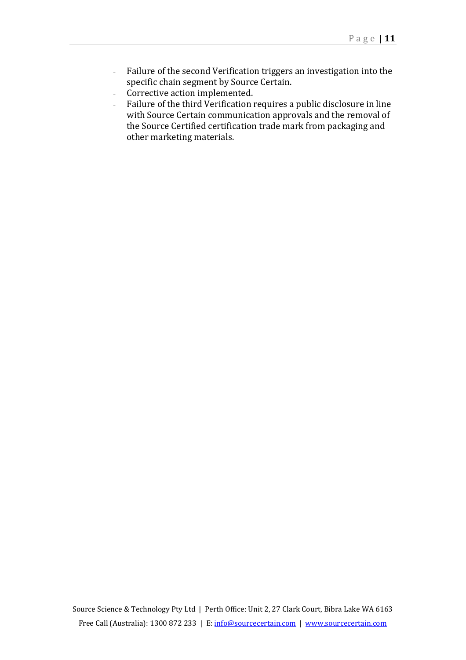- Failure of the second Verification triggers an investigation into the specific chain segment by Source Certain.
- Corrective action implemented.<br>- Failure of the third Verification i
- Failure of the third Verification requires a public disclosure in line with Source Certain communication approvals and the removal of the Source Certified certification trade mark from packaging and other marketing materials.